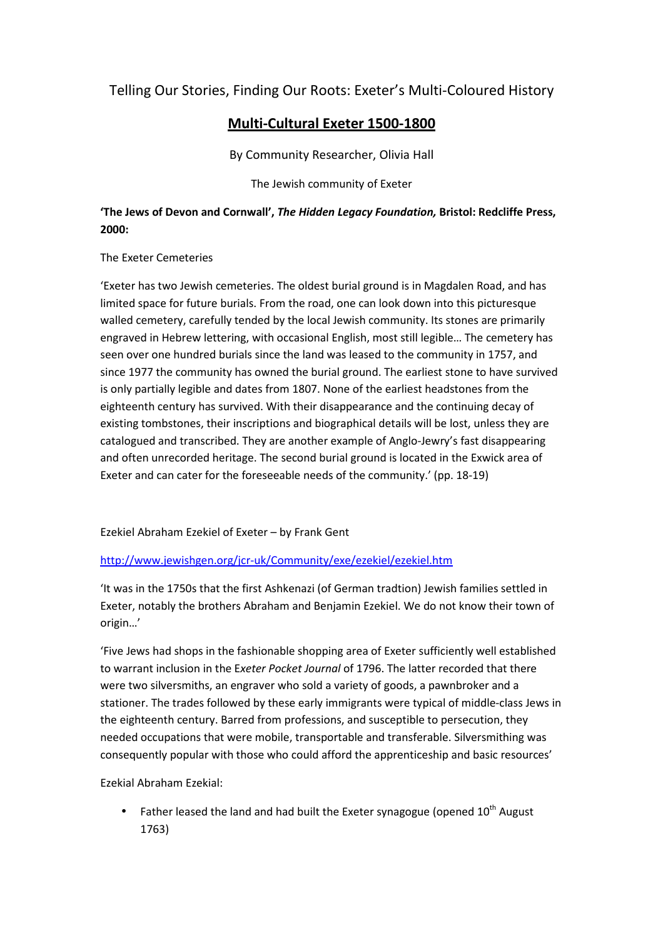# Telling Our Stories, Finding Our Roots: Exeter's Multi-Coloured History

## **Multi-Cultural Exeter 1500-1800**

By Community Researcher, Olivia Hall

The Jewish community of Exeter

**'The Jews of Devon and Cornwall',** *The Hidden Legacy Foundation,* **Bristol: Redcliffe Press, 2000:** 

### The Exeter Cemeteries

'Exeter has two Jewish cemeteries. The oldest burial ground is in Magdalen Road, and has limited space for future burials. From the road, one can look down into this picturesque walled cemetery, carefully tended by the local Jewish community. Its stones are primarily engraved in Hebrew lettering, with occasional English, most still legible… The cemetery has seen over one hundred burials since the land was leased to the community in 1757, and since 1977 the community has owned the burial ground. The earliest stone to have survived is only partially legible and dates from 1807. None of the earliest headstones from the eighteenth century has survived. With their disappearance and the continuing decay of existing tombstones, their inscriptions and biographical details will be lost, unless they are catalogued and transcribed. They are another example of Anglo-Jewry's fast disappearing and often unrecorded heritage. The second burial ground is located in the Exwick area of Exeter and can cater for the foreseeable needs of the community.' (pp. 18-19)

Ezekiel Abraham Ezekiel of Exeter – by Frank Gent

### http://www.jewishgen.org/jcr-uk/Community/exe/ezekiel/ezekiel.htm

'It was in the 1750s that the first Ashkenazi (of German tradtion) Jewish families settled in Exeter, notably the brothers Abraham and Benjamin Ezekiel. We do not know their town of origin…'

'Five Jews had shops in the fashionable shopping area of Exeter sufficiently well established to warrant inclusion in the E*xeter Pocket Journal* of 1796. The latter recorded that there were two silversmiths, an engraver who sold a variety of goods, a pawnbroker and a stationer. The trades followed by these early immigrants were typical of middle-class Jews in the eighteenth century. Barred from professions, and susceptible to persecution, they needed occupations that were mobile, transportable and transferable. Silversmithing was consequently popular with those who could afford the apprenticeship and basic resources'

Ezekial Abraham Ezekial:

Father leased the land and had built the Exeter synagogue (opened  $10<sup>th</sup>$  August 1763)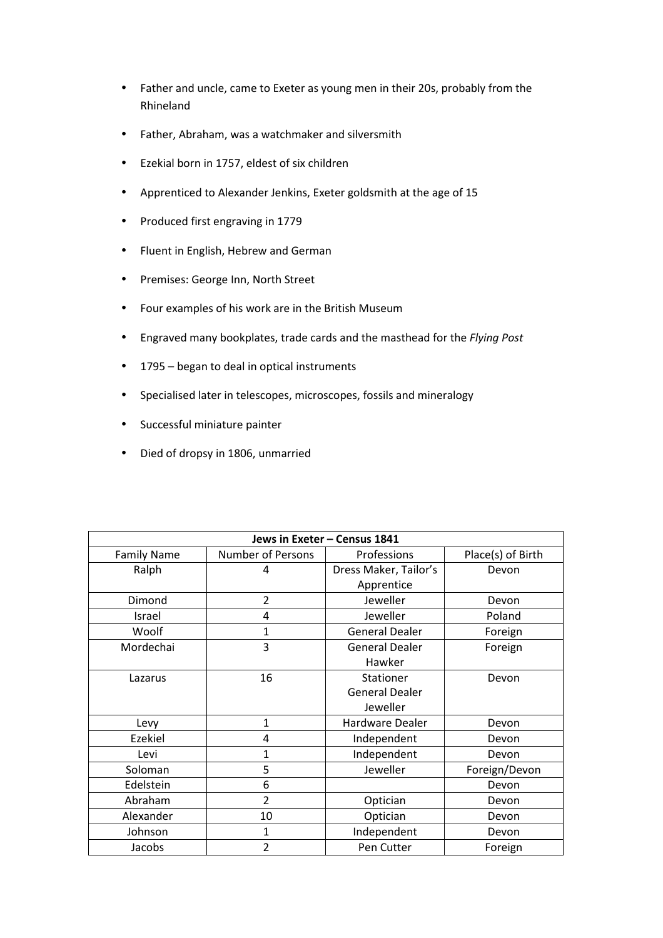- Father and uncle, came to Exeter as young men in their 20s, probably from the Rhineland
- Father, Abraham, was a watchmaker and silversmith
- Ezekial born in 1757, eldest of six children
- Apprenticed to Alexander Jenkins, Exeter goldsmith at the age of 15
- Produced first engraving in 1779
- Fluent in English, Hebrew and German
- Premises: George Inn, North Street
- Four examples of his work are in the British Museum
- Engraved many bookplates, trade cards and the masthead for the *Flying Post*
- 1795 began to deal in optical instruments
- Specialised later in telescopes, microscopes, fossils and mineralogy
- Successful miniature painter
- Died of dropsy in 1806, unmarried

| Jews in Exeter - Census 1841 |                          |                       |                   |  |
|------------------------------|--------------------------|-----------------------|-------------------|--|
| <b>Family Name</b>           | <b>Number of Persons</b> | Professions           | Place(s) of Birth |  |
| Ralph                        | 4                        | Dress Maker, Tailor's | Devon             |  |
|                              |                          | Apprentice            |                   |  |
| Dimond                       | $\overline{2}$           | Jeweller              | Devon             |  |
| Israel                       | 4                        | Jeweller              | Poland            |  |
| Woolf                        | 1                        | <b>General Dealer</b> | Foreign           |  |
| Mordechai                    | 3                        | <b>General Dealer</b> | Foreign           |  |
|                              |                          | Hawker                |                   |  |
| Lazarus                      | 16                       | Stationer             | Devon             |  |
|                              |                          | <b>General Dealer</b> |                   |  |
|                              |                          | Jeweller              |                   |  |
| Levy                         | $\mathbf{1}$             | Hardware Dealer       | Devon             |  |
| Ezekiel                      | 4                        | Independent           | Devon             |  |
| Levi                         | 1                        | Independent           | Devon             |  |
| Soloman                      | 5                        | Jeweller              | Foreign/Devon     |  |
| Edelstein                    | 6                        |                       | Devon             |  |
| Abraham                      | $\overline{2}$           | Optician              | Devon             |  |
| Alexander                    | 10                       | Optician              | Devon             |  |
| Johnson                      | 1                        | Independent           | Devon             |  |
| Jacobs                       | $\overline{2}$           | Pen Cutter            | Foreign           |  |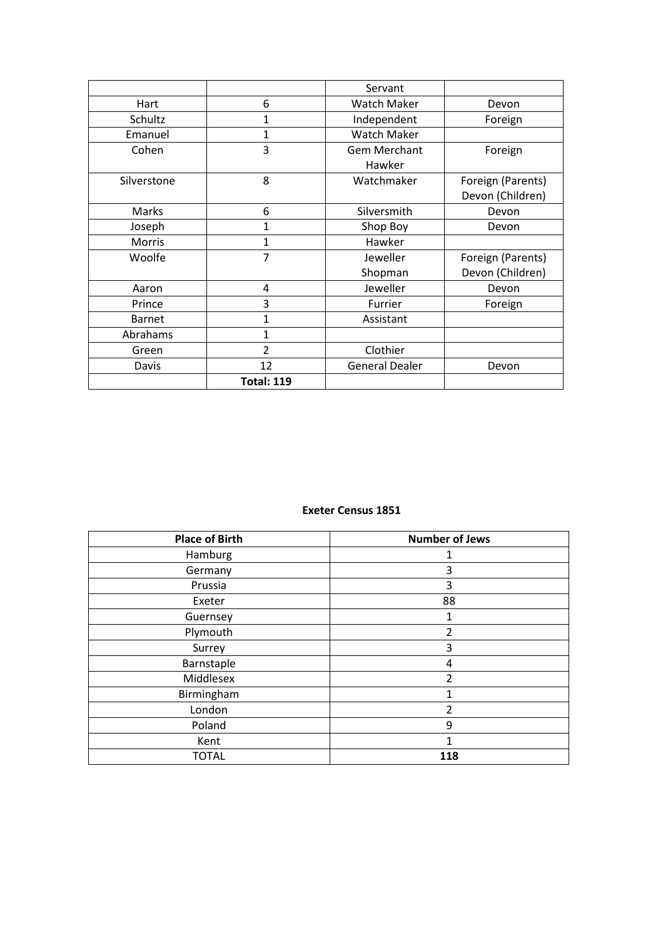|             |                   | Servant               |                   |
|-------------|-------------------|-----------------------|-------------------|
| Hart        | 6                 | Watch Maker           | Devon             |
| Schultz     | 1                 | Independent           | Foreign           |
| Emanuel     | 1                 | <b>Watch Maker</b>    |                   |
| Cohen       | 3                 | <b>Gem Merchant</b>   | Foreign           |
|             |                   | Hawker                |                   |
| Silverstone | 8                 | Watchmaker            | Foreign (Parents) |
|             |                   |                       | Devon (Children)  |
| Marks       | 6                 | Silversmith           | Devon             |
| Joseph      | 1                 | Shop Boy              | Devon             |
| Morris      | 1                 | Hawker                |                   |
| Woolfe      | 7                 | Jeweller              | Foreign (Parents) |
|             |                   | Shopman               | Devon (Children)  |
| Aaron       | 4                 | Jeweller              | Devon             |
| Prince      | 3                 | Furrier               | Foreign           |
| Barnet      | 1                 | Assistant             |                   |
| Abrahams    | $\mathbf{1}$      |                       |                   |
| Green       | 2                 | Clothier              |                   |
| Davis       | 12                | <b>General Dealer</b> | Devon             |
|             | <b>Total: 119</b> |                       |                   |

#### **Exeter Census 1851**

| <b>Place of Birth</b> | <b>Number of Jews</b> |  |
|-----------------------|-----------------------|--|
| Hamburg               |                       |  |
| Germany               | 3                     |  |
| Prussia               | 3                     |  |
| Exeter                | 88                    |  |
| Guernsey              |                       |  |
| Plymouth              | 2                     |  |
| Surrey                | 3                     |  |
| Barnstaple            | 4                     |  |
| Middlesex             | 2                     |  |
| Birmingham            |                       |  |
| London                | 2                     |  |
| Poland                | 9                     |  |
| Kent                  |                       |  |
| <b>TOTAL</b>          | 118                   |  |